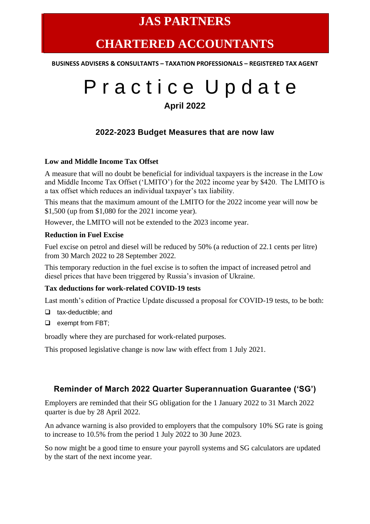# **JAS PARTNERS**

# **CHARTERED ACCOUNTANTS**

**BUSINESS ADVISERS & CONSULTANTS – TAXATION PROFESSIONALS – REGISTERED TAX AGENT**

# P r a c t i c e U p d a t e **April 2022**

# **2022-2023 Budget Measures that are now law**

#### **Low and Middle Income Tax Offset**

A measure that will no doubt be beneficial for individual taxpayers is the increase in the Low and Middle Income Tax Offset ('LMITO') for the 2022 income year by \$420. The LMITO is a tax offset which reduces an individual taxpayer's tax liability.

This means that the maximum amount of the LMITO for the 2022 income year will now be \$1,500 (up from \$1,080 for the 2021 income year).

However, the LMITO will not be extended to the 2023 income year.

#### **Reduction in Fuel Excise**

Fuel excise on petrol and diesel will be reduced by 50% (a reduction of 22.1 cents per litre) from 30 March 2022 to 28 September 2022.

This temporary reduction in the fuel excise is to soften the impact of increased petrol and diesel prices that have been triggered by Russia's invasion of Ukraine.

#### **Tax deductions for work-related COVID-19 tests**

Last month's edition of Practice Update discussed a proposal for COVID-19 tests, to be both:

- ❑ tax-deductible; and
- ❑ exempt from FBT;

broadly where they are purchased for work-related purposes.

This proposed legislative change is now law with effect from 1 July 2021.

# **Reminder of March 2022 Quarter Superannuation Guarantee ('SG')**

Employers are reminded that their SG obligation for the 1 January 2022 to 31 March 2022 quarter is due by 28 April 2022.

An advance warning is also provided to employers that the compulsory 10% SG rate is going to increase to 10.5% from the period 1 July 2022 to 30 June 2023.

So now might be a good time to ensure your payroll systems and SG calculators are updated by the start of the next income year.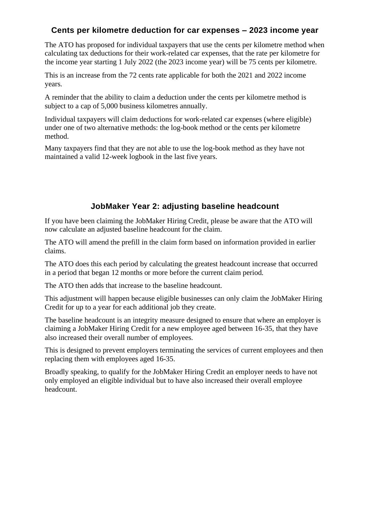# **Cents per kilometre deduction for car expenses – 2023 income year**

The ATO has proposed for individual taxpayers that use the cents per kilometre method when calculating tax deductions for their work-related car expenses, that the rate per kilometre for the income year starting 1 July 2022 (the 2023 income year) will be 75 cents per kilometre.

This is an increase from the 72 cents rate applicable for both the 2021 and 2022 income years.

A reminder that the ability to claim a deduction under the cents per kilometre method is subject to a cap of 5,000 business kilometres annually.

Individual taxpayers will claim deductions for work-related car expenses (where eligible) under one of two alternative methods: the log-book method or the cents per kilometre method.

Many taxpayers find that they are not able to use the log-book method as they have not maintained a valid 12-week logbook in the last five years.

### **JobMaker Year 2: adjusting baseline headcount**

If you have been claiming the JobMaker Hiring Credit, please be aware that the ATO will now calculate an adjusted baseline headcount for the claim.

The ATO will amend the prefill in the claim form based on information provided in earlier claims.

The ATO does this each period by calculating the greatest headcount increase that occurred in a period that began 12 months or more before the current claim period.

The ATO then adds that increase to the baseline headcount.

This adjustment will happen because eligible businesses can only claim the JobMaker Hiring Credit for up to a year for each additional job they create.

The baseline headcount is an integrity measure designed to ensure that where an employer is claiming a JobMaker Hiring Credit for a new employee aged between 16-35, that they have also increased their overall number of employees.

This is designed to prevent employers terminating the services of current employees and then replacing them with employees aged 16-35.

Broadly speaking, to qualify for the JobMaker Hiring Credit an employer needs to have not only employed an eligible individual but to have also increased their overall employee headcount.